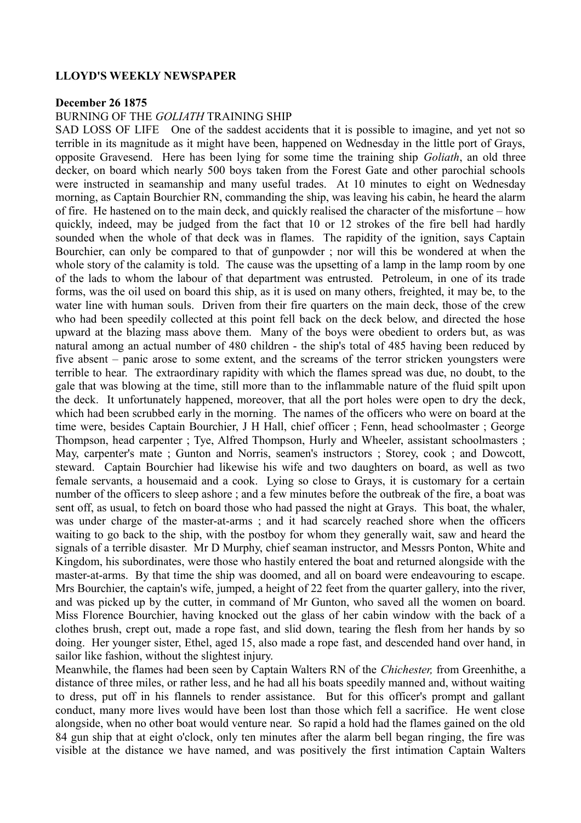# **LLOYD'S WEEKLY NEWSPAPER**

#### **December 26 1875**

# BURNING OF THE *GOLIATH* TRAINING SHIP

SAD LOSS OF LIFE One of the saddest accidents that it is possible to imagine, and yet not so terrible in its magnitude as it might have been, happened on Wednesday in the little port of Grays, opposite Gravesend. Here has been lying for some time the training ship *Goliath*, an old three decker, on board which nearly 500 boys taken from the Forest Gate and other parochial schools were instructed in seamanship and many useful trades. At 10 minutes to eight on Wednesday morning, as Captain Bourchier RN, commanding the ship, was leaving his cabin, he heard the alarm of fire. He hastened on to the main deck, and quickly realised the character of the misfortune – how quickly, indeed, may be judged from the fact that 10 or 12 strokes of the fire bell had hardly sounded when the whole of that deck was in flames. The rapidity of the ignition, says Captain Bourchier, can only be compared to that of gunpowder ; nor will this be wondered at when the whole story of the calamity is told. The cause was the upsetting of a lamp in the lamp room by one of the lads to whom the labour of that department was entrusted. Petroleum, in one of its trade forms, was the oil used on board this ship, as it is used on many others, freighted, it may be, to the water line with human souls. Driven from their fire quarters on the main deck, those of the crew who had been speedily collected at this point fell back on the deck below, and directed the hose upward at the blazing mass above them. Many of the boys were obedient to orders but, as was natural among an actual number of 480 children - the ship's total of 485 having been reduced by five absent – panic arose to some extent, and the screams of the terror stricken youngsters were terrible to hear. The extraordinary rapidity with which the flames spread was due, no doubt, to the gale that was blowing at the time, still more than to the inflammable nature of the fluid spilt upon the deck. It unfortunately happened, moreover, that all the port holes were open to dry the deck, which had been scrubbed early in the morning. The names of the officers who were on board at the time were, besides Captain Bourchier, J H Hall, chief officer ; Fenn, head schoolmaster ; George Thompson, head carpenter ; Tye, Alfred Thompson, Hurly and Wheeler, assistant schoolmasters ; May, carpenter's mate ; Gunton and Norris, seamen's instructors ; Storey, cook ; and Dowcott, steward. Captain Bourchier had likewise his wife and two daughters on board, as well as two female servants, a housemaid and a cook. Lying so close to Grays, it is customary for a certain number of the officers to sleep ashore ; and a few minutes before the outbreak of the fire, a boat was sent off, as usual, to fetch on board those who had passed the night at Grays. This boat, the whaler, was under charge of the master-at-arms ; and it had scarcely reached shore when the officers waiting to go back to the ship, with the postboy for whom they generally wait, saw and heard the signals of a terrible disaster. Mr D Murphy, chief seaman instructor, and Messrs Ponton, White and Kingdom, his subordinates, were those who hastily entered the boat and returned alongside with the master-at-arms. By that time the ship was doomed, and all on board were endeavouring to escape. Mrs Bourchier, the captain's wife, jumped, a height of 22 feet from the quarter gallery, into the river, and was picked up by the cutter, in command of Mr Gunton, who saved all the women on board. Miss Florence Bourchier, having knocked out the glass of her cabin window with the back of a clothes brush, crept out, made a rope fast, and slid down, tearing the flesh from her hands by so doing. Her younger sister, Ethel, aged 15, also made a rope fast, and descended hand over hand, in sailor like fashion, without the slightest injury.

Meanwhile, the flames had been seen by Captain Walters RN of the *Chichester,* from Greenhithe, a distance of three miles, or rather less, and he had all his boats speedily manned and, without waiting to dress, put off in his flannels to render assistance. But for this officer's prompt and gallant conduct, many more lives would have been lost than those which fell a sacrifice. He went close alongside, when no other boat would venture near. So rapid a hold had the flames gained on the old 84 gun ship that at eight o'clock, only ten minutes after the alarm bell began ringing, the fire was visible at the distance we have named, and was positively the first intimation Captain Walters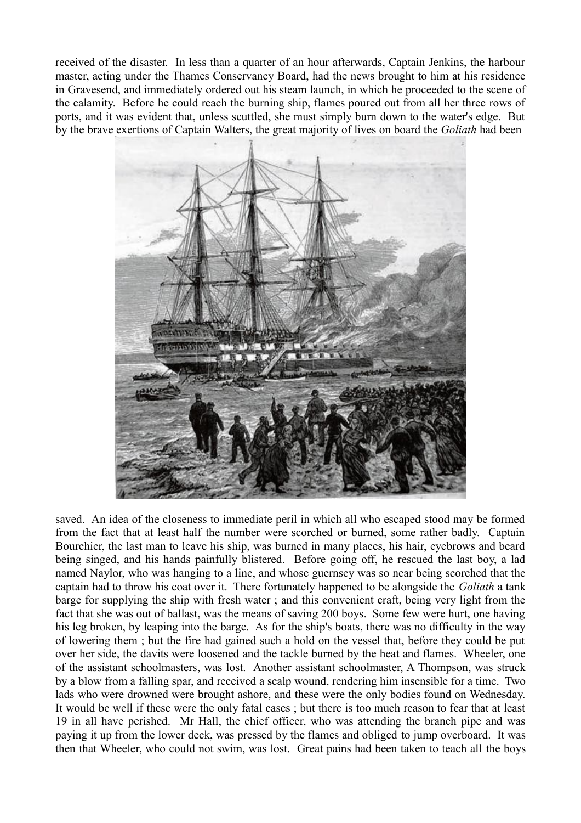received of the disaster. In less than a quarter of an hour afterwards, Captain Jenkins, the harbour master, acting under the Thames Conservancy Board, had the news brought to him at his residence in Gravesend, and immediately ordered out his steam launch, in which he proceeded to the scene of the calamity. Before he could reach the burning ship, flames poured out from all her three rows of ports, and it was evident that, unless scuttled, she must simply burn down to the water's edge. But by the brave exertions of Captain Walters, the great majority of lives on board the *Goliath* had been



saved. An idea of the closeness to immediate peril in which all who escaped stood may be formed from the fact that at least half the number were scorched or burned, some rather badly. Captain Bourchier, the last man to leave his ship, was burned in many places, his hair, eyebrows and beard being singed, and his hands painfully blistered. Before going off, he rescued the last boy, a lad named Naylor, who was hanging to a line, and whose guernsey was so near being scorched that the captain had to throw his coat over it. There fortunately happened to be alongside the *Goliath* a tank barge for supplying the ship with fresh water ; and this convenient craft, being very light from the fact that she was out of ballast, was the means of saving 200 boys. Some few were hurt, one having his leg broken, by leaping into the barge. As for the ship's boats, there was no difficulty in the way of lowering them ; but the fire had gained such a hold on the vessel that, before they could be put over her side, the davits were loosened and the tackle burned by the heat and flames. Wheeler, one of the assistant schoolmasters, was lost. Another assistant schoolmaster, A Thompson, was struck by a blow from a falling spar, and received a scalp wound, rendering him insensible for a time. Two lads who were drowned were brought ashore, and these were the only bodies found on Wednesday. It would be well if these were the only fatal cases ; but there is too much reason to fear that at least 19 in all have perished. Mr Hall, the chief officer, who was attending the branch pipe and was paying it up from the lower deck, was pressed by the flames and obliged to jump overboard. It was then that Wheeler, who could not swim, was lost. Great pains had been taken to teach all the boys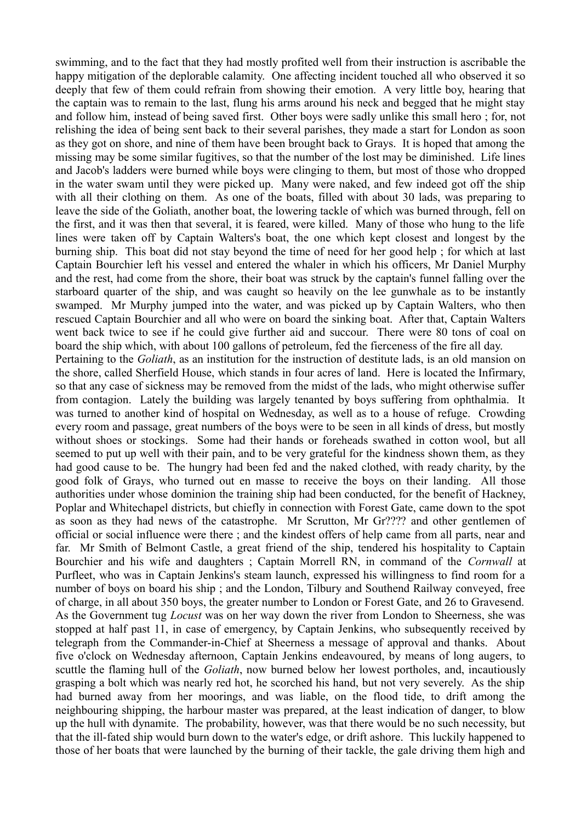swimming, and to the fact that they had mostly profited well from their instruction is ascribable the happy mitigation of the deplorable calamity. One affecting incident touched all who observed it so deeply that few of them could refrain from showing their emotion. A very little boy, hearing that the captain was to remain to the last, flung his arms around his neck and begged that he might stay and follow him, instead of being saved first. Other boys were sadly unlike this small hero ; for, not relishing the idea of being sent back to their several parishes, they made a start for London as soon as they got on shore, and nine of them have been brought back to Grays. It is hoped that among the missing may be some similar fugitives, so that the number of the lost may be diminished. Life lines and Jacob's ladders were burned while boys were clinging to them, but most of those who dropped in the water swam until they were picked up. Many were naked, and few indeed got off the ship with all their clothing on them. As one of the boats, filled with about 30 lads, was preparing to leave the side of the Goliath, another boat, the lowering tackle of which was burned through, fell on the first, and it was then that several, it is feared, were killed. Many of those who hung to the life lines were taken off by Captain Walters's boat, the one which kept closest and longest by the burning ship. This boat did not stay beyond the time of need for her good help ; for which at last Captain Bourchier left his vessel and entered the whaler in which his officers, Mr Daniel Murphy and the rest, had come from the shore, their boat was struck by the captain's funnel falling over the starboard quarter of the ship, and was caught so heavily on the lee gunwhale as to be instantly swamped. Mr Murphy jumped into the water, and was picked up by Captain Walters, who then rescued Captain Bourchier and all who were on board the sinking boat. After that, Captain Walters went back twice to see if he could give further aid and succour. There were 80 tons of coal on board the ship which, with about 100 gallons of petroleum, fed the fierceness of the fire all day. Pertaining to the *Goliath*, as an institution for the instruction of destitute lads, is an old mansion on the shore, called Sherfield House, which stands in four acres of land. Here is located the Infirmary, so that any case of sickness may be removed from the midst of the lads, who might otherwise suffer from contagion. Lately the building was largely tenanted by boys suffering from ophthalmia. It was turned to another kind of hospital on Wednesday, as well as to a house of refuge. Crowding every room and passage, great numbers of the boys were to be seen in all kinds of dress, but mostly without shoes or stockings. Some had their hands or foreheads swathed in cotton wool, but all seemed to put up well with their pain, and to be very grateful for the kindness shown them, as they had good cause to be. The hungry had been fed and the naked clothed, with ready charity, by the good folk of Grays, who turned out en masse to receive the boys on their landing. All those authorities under whose dominion the training ship had been conducted, for the benefit of Hackney, Poplar and Whitechapel districts, but chiefly in connection with Forest Gate, came down to the spot as soon as they had news of the catastrophe. Mr Scrutton, Mr Gr???? and other gentlemen of official or social influence were there ; and the kindest offers of help came from all parts, near and far. Mr Smith of Belmont Castle, a great friend of the ship, tendered his hospitality to Captain Bourchier and his wife and daughters ; Captain Morrell RN, in command of the *Cornwall* at Purfleet, who was in Captain Jenkins's steam launch, expressed his willingness to find room for a number of boys on board his ship ; and the London, Tilbury and Southend Railway conveyed, free of charge, in all about 350 boys, the greater number to London or Forest Gate, and 26 to Gravesend. As the Government tug *Locust* was on her way down the river from London to Sheerness, she was stopped at half past 11, in case of emergency, by Captain Jenkins, who subsequently received by telegraph from the Commander-in-Chief at Sheerness a message of approval and thanks. About five o'clock on Wednesday afternoon, Captain Jenkins endeavoured, by means of long augers, to scuttle the flaming hull of the *Goliath*, now burned below her lowest portholes, and, incautiously grasping a bolt which was nearly red hot, he scorched his hand, but not very severely. As the ship had burned away from her moorings, and was liable, on the flood tide, to drift among the neighbouring shipping, the harbour master was prepared, at the least indication of danger, to blow up the hull with dynamite. The probability, however, was that there would be no such necessity, but that the ill-fated ship would burn down to the water's edge, or drift ashore. This luckily happened to those of her boats that were launched by the burning of their tackle, the gale driving them high and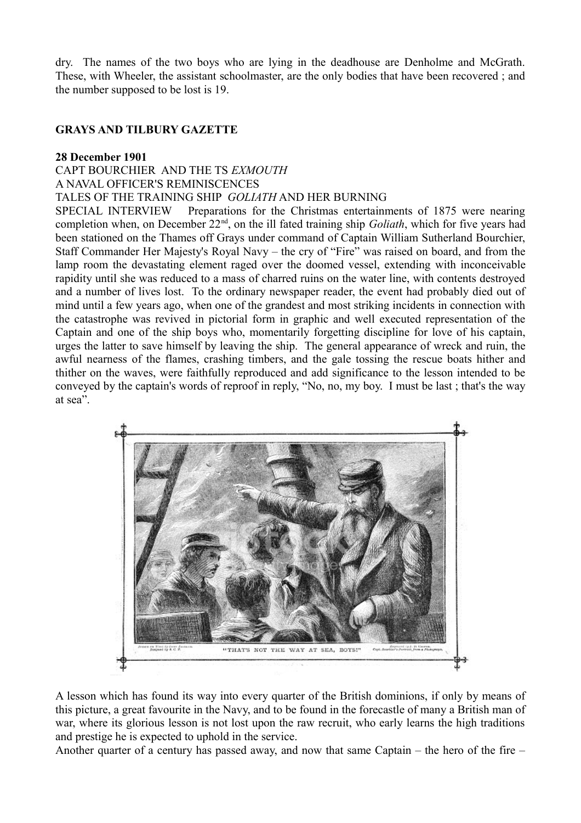dry. The names of the two boys who are lying in the deadhouse are Denholme and McGrath. These, with Wheeler, the assistant schoolmaster, are the only bodies that have been recovered ; and the number supposed to be lost is 19.

# **GRAYS AND TILBURY GAZETTE**

### **28 December 1901**

CAPT BOURCHIER AND THE TS *EXMOUTH* A NAVAL OFFICER'S REMINISCENCES TALES OF THE TRAINING SHIP *GOLIATH* AND HER BURNING

SPECIAL INTERVIEW Preparations for the Christmas entertainments of 1875 were nearing completion when, on December 22nd, on the ill fated training ship *Goliath*, which for five years had been stationed on the Thames off Grays under command of Captain William Sutherland Bourchier, Staff Commander Her Majesty's Royal Navy – the cry of "Fire" was raised on board, and from the lamp room the devastating element raged over the doomed vessel, extending with inconceivable rapidity until she was reduced to a mass of charred ruins on the water line, with contents destroyed and a number of lives lost. To the ordinary newspaper reader, the event had probably died out of mind until a few years ago, when one of the grandest and most striking incidents in connection with the catastrophe was revived in pictorial form in graphic and well executed representation of the Captain and one of the ship boys who, momentarily forgetting discipline for love of his captain, urges the latter to save himself by leaving the ship. The general appearance of wreck and ruin, the awful nearness of the flames, crashing timbers, and the gale tossing the rescue boats hither and thither on the waves, were faithfully reproduced and add significance to the lesson intended to be conveyed by the captain's words of reproof in reply, "No, no, my boy. I must be last ; that's the way at sea".



A lesson which has found its way into every quarter of the British dominions, if only by means of this picture, a great favourite in the Navy, and to be found in the forecastle of many a British man of war, where its glorious lesson is not lost upon the raw recruit, who early learns the high traditions and prestige he is expected to uphold in the service.

Another quarter of a century has passed away, and now that same Captain – the hero of the fire –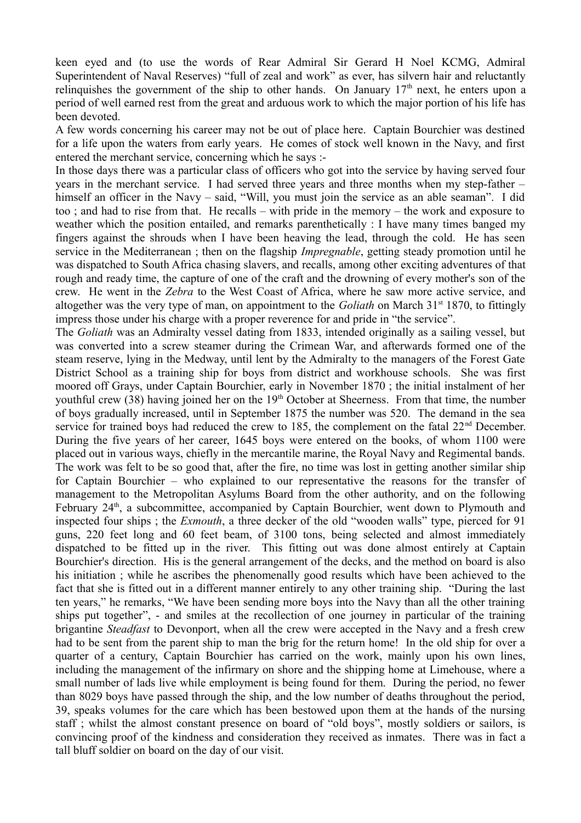keen eyed and (to use the words of Rear Admiral Sir Gerard H Noel KCMG, Admiral Superintendent of Naval Reserves) "full of zeal and work" as ever, has silvern hair and reluctantly relinguishes the government of the ship to other hands. On January  $17<sup>th</sup>$  next, he enters upon a period of well earned rest from the great and arduous work to which the major portion of his life has been devoted.

A few words concerning his career may not be out of place here. Captain Bourchier was destined for a life upon the waters from early years. He comes of stock well known in the Navy, and first entered the merchant service, concerning which he says :-

In those days there was a particular class of officers who got into the service by having served four years in the merchant service. I had served three years and three months when my step-father – himself an officer in the Navy – said, "Will, you must join the service as an able seaman". I did too ; and had to rise from that. He recalls – with pride in the memory – the work and exposure to weather which the position entailed, and remarks parenthetically : I have many times banged my fingers against the shrouds when I have been heaving the lead, through the cold. He has seen service in the Mediterranean ; then on the flagship *Impregnable*, getting steady promotion until he was dispatched to South Africa chasing slavers, and recalls, among other exciting adventures of that rough and ready time, the capture of one of the craft and the drowning of every mother's son of the crew. He went in the *Zebra* to the West Coast of Africa, where he saw more active service, and altogether was the very type of man, on appointment to the *Goliath* on March 31<sup>st</sup> 1870, to fittingly impress those under his charge with a proper reverence for and pride in "the service".

The *Goliath* was an Admiralty vessel dating from 1833, intended originally as a sailing vessel, but was converted into a screw steamer during the Crimean War, and afterwards formed one of the steam reserve, lying in the Medway, until lent by the Admiralty to the managers of the Forest Gate District School as a training ship for boys from district and workhouse schools. She was first moored off Grays, under Captain Bourchier, early in November 1870 ; the initial instalment of her youthful crew (38) having joined her on the  $19<sup>th</sup>$  October at Sheerness. From that time, the number of boys gradually increased, until in September 1875 the number was 520. The demand in the sea service for trained boys had reduced the crew to 185, the complement on the fatal  $22<sup>nd</sup>$  December. During the five years of her career, 1645 boys were entered on the books, of whom 1100 were placed out in various ways, chiefly in the mercantile marine, the Royal Navy and Regimental bands. The work was felt to be so good that, after the fire, no time was lost in getting another similar ship for Captain Bourchier – who explained to our representative the reasons for the transfer of management to the Metropolitan Asylums Board from the other authority, and on the following February 24<sup>th</sup>, a subcommittee, accompanied by Captain Bourchier, went down to Plymouth and inspected four ships ; the *Exmouth*, a three decker of the old "wooden walls" type, pierced for 91 guns, 220 feet long and 60 feet beam, of 3100 tons, being selected and almost immediately dispatched to be fitted up in the river. This fitting out was done almost entirely at Captain Bourchier's direction. His is the general arrangement of the decks, and the method on board is also his initiation ; while he ascribes the phenomenally good results which have been achieved to the fact that she is fitted out in a different manner entirely to any other training ship. "During the last ten years," he remarks, "We have been sending more boys into the Navy than all the other training ships put together", - and smiles at the recollection of one journey in particular of the training brigantine *Steadfast* to Devonport, when all the crew were accepted in the Navy and a fresh crew had to be sent from the parent ship to man the brig for the return home! In the old ship for over a quarter of a century, Captain Bourchier has carried on the work, mainly upon his own lines, including the management of the infirmary on shore and the shipping home at Limehouse, where a small number of lads live while employment is being found for them. During the period, no fewer than 8029 boys have passed through the ship, and the low number of deaths throughout the period, 39, speaks volumes for the care which has been bestowed upon them at the hands of the nursing staff ; whilst the almost constant presence on board of "old boys", mostly soldiers or sailors, is convincing proof of the kindness and consideration they received as inmates. There was in fact a tall bluff soldier on board on the day of our visit.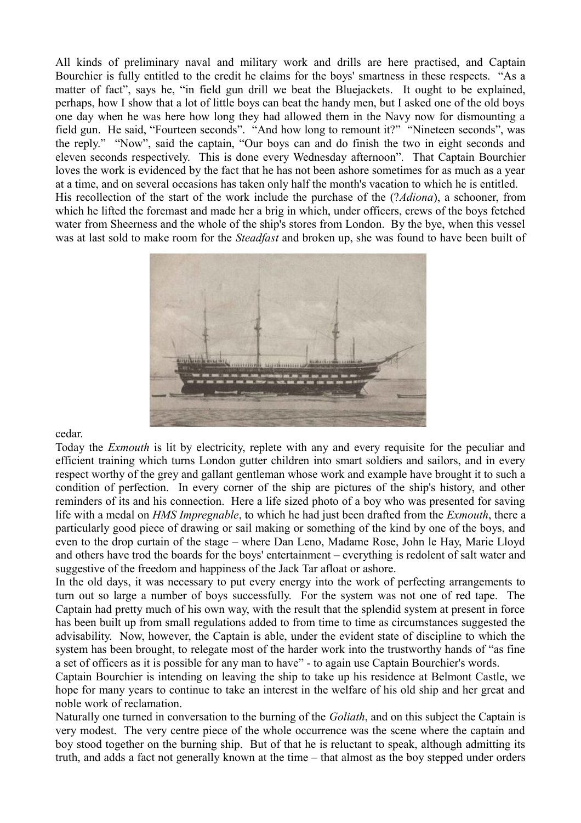All kinds of preliminary naval and military work and drills are here practised, and Captain Bourchier is fully entitled to the credit he claims for the boys' smartness in these respects. "As a matter of fact", says he, "in field gun drill we beat the Bluejackets. It ought to be explained, perhaps, how I show that a lot of little boys can beat the handy men, but I asked one of the old boys one day when he was here how long they had allowed them in the Navy now for dismounting a field gun. He said, "Fourteen seconds". "And how long to remount it?" "Nineteen seconds", was the reply." "Now", said the captain, "Our boys can and do finish the two in eight seconds and eleven seconds respectively. This is done every Wednesday afternoon". That Captain Bourchier loves the work is evidenced by the fact that he has not been ashore sometimes for as much as a year at a time, and on several occasions has taken only half the month's vacation to which he is entitled. His recollection of the start of the work include the purchase of the (?*Adiona*), a schooner, from which he lifted the foremast and made her a brig in which, under officers, crews of the boys fetched water from Sheerness and the whole of the ship's stores from London. By the bye, when this vessel was at last sold to make room for the *Steadfast* and broken up, she was found to have been built of



cedar.

Today the *Exmouth* is lit by electricity, replete with any and every requisite for the peculiar and efficient training which turns London gutter children into smart soldiers and sailors, and in every respect worthy of the grey and gallant gentleman whose work and example have brought it to such a condition of perfection. In every corner of the ship are pictures of the ship's history, and other reminders of its and his connection. Here a life sized photo of a boy who was presented for saving life with a medal on *HMS Impregnable*, to which he had just been drafted from the *Exmouth*, there a particularly good piece of drawing or sail making or something of the kind by one of the boys, and even to the drop curtain of the stage – where Dan Leno, Madame Rose, John le Hay, Marie Lloyd and others have trod the boards for the boys' entertainment – everything is redolent of salt water and suggestive of the freedom and happiness of the Jack Tar afloat or ashore.

In the old days, it was necessary to put every energy into the work of perfecting arrangements to turn out so large a number of boys successfully. For the system was not one of red tape. The Captain had pretty much of his own way, with the result that the splendid system at present in force has been built up from small regulations added to from time to time as circumstances suggested the advisability. Now, however, the Captain is able, under the evident state of discipline to which the system has been brought, to relegate most of the harder work into the trustworthy hands of "as fine a set of officers as it is possible for any man to have" - to again use Captain Bourchier's words.

Captain Bourchier is intending on leaving the ship to take up his residence at Belmont Castle, we hope for many years to continue to take an interest in the welfare of his old ship and her great and noble work of reclamation.

Naturally one turned in conversation to the burning of the *Goliath*, and on this subject the Captain is very modest. The very centre piece of the whole occurrence was the scene where the captain and boy stood together on the burning ship. But of that he is reluctant to speak, although admitting its truth, and adds a fact not generally known at the time – that almost as the boy stepped under orders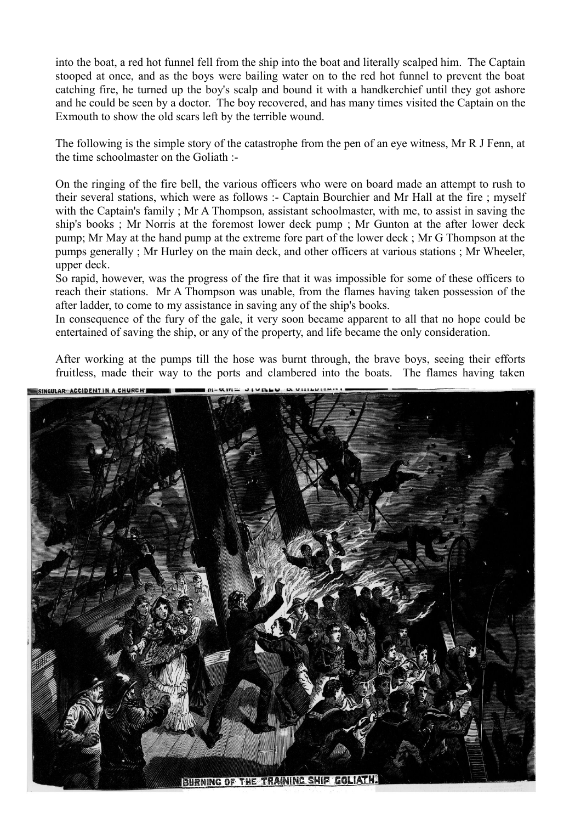into the boat, a red hot funnel fell from the ship into the boat and literally scalped him. The Captain stooped at once, and as the boys were bailing water on to the red hot funnel to prevent the boat catching fire, he turned up the boy's scalp and bound it with a handkerchief until they got ashore and he could be seen by a doctor. The boy recovered, and has many times visited the Captain on the Exmouth to show the old scars left by the terrible wound.

The following is the simple story of the catastrophe from the pen of an eye witness, Mr R J Fenn, at the time schoolmaster on the Goliath :-

On the ringing of the fire bell, the various officers who were on board made an attempt to rush to their several stations, which were as follows :- Captain Bourchier and Mr Hall at the fire ; myself with the Captain's family ; Mr A Thompson, assistant schoolmaster, with me, to assist in saving the ship's books ; Mr Norris at the foremost lower deck pump ; Mr Gunton at the after lower deck pump; Mr May at the hand pump at the extreme fore part of the lower deck ; Mr G Thompson at the pumps generally ; Mr Hurley on the main deck, and other officers at various stations ; Mr Wheeler, upper deck.

So rapid, however, was the progress of the fire that it was impossible for some of these officers to reach their stations. Mr A Thompson was unable, from the flames having taken possession of the after ladder, to come to my assistance in saving any of the ship's books.

In consequence of the fury of the gale, it very soon became apparent to all that no hope could be entertained of saving the ship, or any of the property, and life became the only consideration.

After working at the pumps till the hose was burnt through, the brave boys, seeing their efforts fruitless, made their way to the ports and clambered into the boats. The flames having taken

SINGULAR ACCIDENTIN A CHURCH, BURNING OF THE TRAINING SHIP GOLIATH.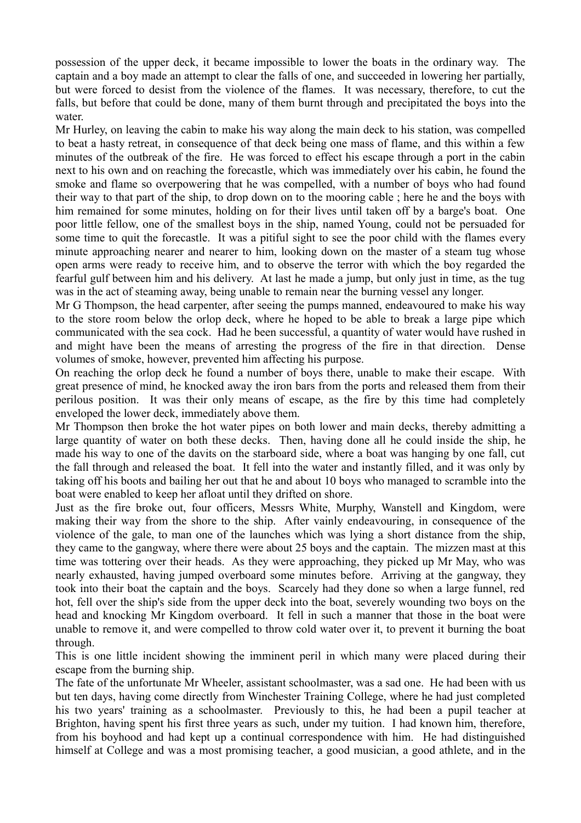possession of the upper deck, it became impossible to lower the boats in the ordinary way. The captain and a boy made an attempt to clear the falls of one, and succeeded in lowering her partially, but were forced to desist from the violence of the flames. It was necessary, therefore, to cut the falls, but before that could be done, many of them burnt through and precipitated the boys into the water.

Mr Hurley, on leaving the cabin to make his way along the main deck to his station, was compelled to beat a hasty retreat, in consequence of that deck being one mass of flame, and this within a few minutes of the outbreak of the fire. He was forced to effect his escape through a port in the cabin next to his own and on reaching the forecastle, which was immediately over his cabin, he found the smoke and flame so overpowering that he was compelled, with a number of boys who had found their way to that part of the ship, to drop down on to the mooring cable ; here he and the boys with him remained for some minutes, holding on for their lives until taken off by a barge's boat. One poor little fellow, one of the smallest boys in the ship, named Young, could not be persuaded for some time to quit the forecastle. It was a pitiful sight to see the poor child with the flames every minute approaching nearer and nearer to him, looking down on the master of a steam tug whose open arms were ready to receive him, and to observe the terror with which the boy regarded the fearful gulf between him and his delivery. At last he made a jump, but only just in time, as the tug was in the act of steaming away, being unable to remain near the burning vessel any longer.

Mr G Thompson, the head carpenter, after seeing the pumps manned, endeavoured to make his way to the store room below the orlop deck, where he hoped to be able to break a large pipe which communicated with the sea cock. Had he been successful, a quantity of water would have rushed in and might have been the means of arresting the progress of the fire in that direction. Dense volumes of smoke, however, prevented him affecting his purpose.

On reaching the orlop deck he found a number of boys there, unable to make their escape. With great presence of mind, he knocked away the iron bars from the ports and released them from their perilous position. It was their only means of escape, as the fire by this time had completely enveloped the lower deck, immediately above them.

Mr Thompson then broke the hot water pipes on both lower and main decks, thereby admitting a large quantity of water on both these decks. Then, having done all he could inside the ship, he made his way to one of the davits on the starboard side, where a boat was hanging by one fall, cut the fall through and released the boat. It fell into the water and instantly filled, and it was only by taking off his boots and bailing her out that he and about 10 boys who managed to scramble into the boat were enabled to keep her afloat until they drifted on shore.

Just as the fire broke out, four officers, Messrs White, Murphy, Wanstell and Kingdom, were making their way from the shore to the ship. After vainly endeavouring, in consequence of the violence of the gale, to man one of the launches which was lying a short distance from the ship, they came to the gangway, where there were about 25 boys and the captain. The mizzen mast at this time was tottering over their heads. As they were approaching, they picked up Mr May, who was nearly exhausted, having jumped overboard some minutes before. Arriving at the gangway, they took into their boat the captain and the boys. Scarcely had they done so when a large funnel, red hot, fell over the ship's side from the upper deck into the boat, severely wounding two boys on the head and knocking Mr Kingdom overboard. It fell in such a manner that those in the boat were unable to remove it, and were compelled to throw cold water over it, to prevent it burning the boat through.

This is one little incident showing the imminent peril in which many were placed during their escape from the burning ship.

The fate of the unfortunate Mr Wheeler, assistant schoolmaster, was a sad one. He had been with us but ten days, having come directly from Winchester Training College, where he had just completed his two years' training as a schoolmaster. Previously to this, he had been a pupil teacher at Brighton, having spent his first three years as such, under my tuition. I had known him, therefore, from his boyhood and had kept up a continual correspondence with him. He had distinguished himself at College and was a most promising teacher, a good musician, a good athlete, and in the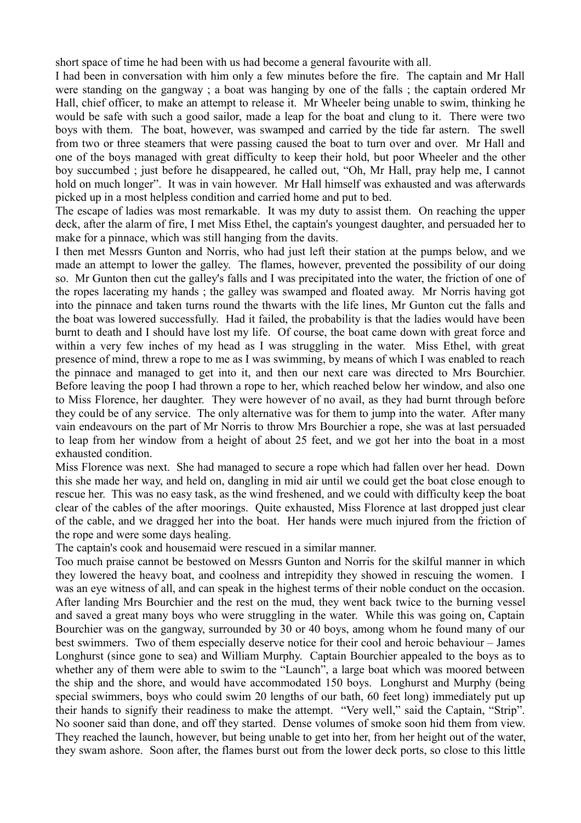short space of time he had been with us had become a general favourite with all.

I had been in conversation with him only a few minutes before the fire. The captain and Mr Hall were standing on the gangway ; a boat was hanging by one of the falls ; the captain ordered Mr Hall, chief officer, to make an attempt to release it. Mr Wheeler being unable to swim, thinking he would be safe with such a good sailor, made a leap for the boat and clung to it. There were two boys with them. The boat, however, was swamped and carried by the tide far astern. The swell from two or three steamers that were passing caused the boat to turn over and over. Mr Hall and one of the boys managed with great difficulty to keep their hold, but poor Wheeler and the other boy succumbed ; just before he disappeared, he called out, "Oh, Mr Hall, pray help me, I cannot hold on much longer". It was in vain however. Mr Hall himself was exhausted and was afterwards picked up in a most helpless condition and carried home and put to bed.

The escape of ladies was most remarkable. It was my duty to assist them. On reaching the upper deck, after the alarm of fire, I met Miss Ethel, the captain's youngest daughter, and persuaded her to make for a pinnace, which was still hanging from the davits.

I then met Messrs Gunton and Norris, who had just left their station at the pumps below, and we made an attempt to lower the galley. The flames, however, prevented the possibility of our doing so. Mr Gunton then cut the galley's falls and I was precipitated into the water, the friction of one of the ropes lacerating my hands ; the galley was swamped and floated away. Mr Norris having got into the pinnace and taken turns round the thwarts with the life lines, Mr Gunton cut the falls and the boat was lowered successfully. Had it failed, the probability is that the ladies would have been burnt to death and I should have lost my life. Of course, the boat came down with great force and within a very few inches of my head as I was struggling in the water. Miss Ethel, with great presence of mind, threw a rope to me as I was swimming, by means of which I was enabled to reach the pinnace and managed to get into it, and then our next care was directed to Mrs Bourchier. Before leaving the poop I had thrown a rope to her, which reached below her window, and also one to Miss Florence, her daughter. They were however of no avail, as they had burnt through before they could be of any service. The only alternative was for them to jump into the water. After many vain endeavours on the part of Mr Norris to throw Mrs Bourchier a rope, she was at last persuaded to leap from her window from a height of about 25 feet, and we got her into the boat in a most exhausted condition.

Miss Florence was next. She had managed to secure a rope which had fallen over her head. Down this she made her way, and held on, dangling in mid air until we could get the boat close enough to rescue her. This was no easy task, as the wind freshened, and we could with difficulty keep the boat clear of the cables of the after moorings. Quite exhausted, Miss Florence at last dropped just clear of the cable, and we dragged her into the boat. Her hands were much injured from the friction of the rope and were some days healing.

The captain's cook and housemaid were rescued in a similar manner.

Too much praise cannot be bestowed on Messrs Gunton and Norris for the skilful manner in which they lowered the heavy boat, and coolness and intrepidity they showed in rescuing the women. I was an eye witness of all, and can speak in the highest terms of their noble conduct on the occasion. After landing Mrs Bourchier and the rest on the mud, they went back twice to the burning vessel and saved a great many boys who were struggling in the water. While this was going on, Captain Bourchier was on the gangway, surrounded by 30 or 40 boys, among whom he found many of our best swimmers. Two of them especially deserve notice for their cool and heroic behaviour – James Longhurst (since gone to sea) and William Murphy. Captain Bourchier appealed to the boys as to whether any of them were able to swim to the "Launch", a large boat which was moored between the ship and the shore, and would have accommodated 150 boys. Longhurst and Murphy (being special swimmers, boys who could swim 20 lengths of our bath, 60 feet long) immediately put up their hands to signify their readiness to make the attempt. "Very well," said the Captain, "Strip". No sooner said than done, and off they started. Dense volumes of smoke soon hid them from view. They reached the launch, however, but being unable to get into her, from her height out of the water, they swam ashore. Soon after, the flames burst out from the lower deck ports, so close to this little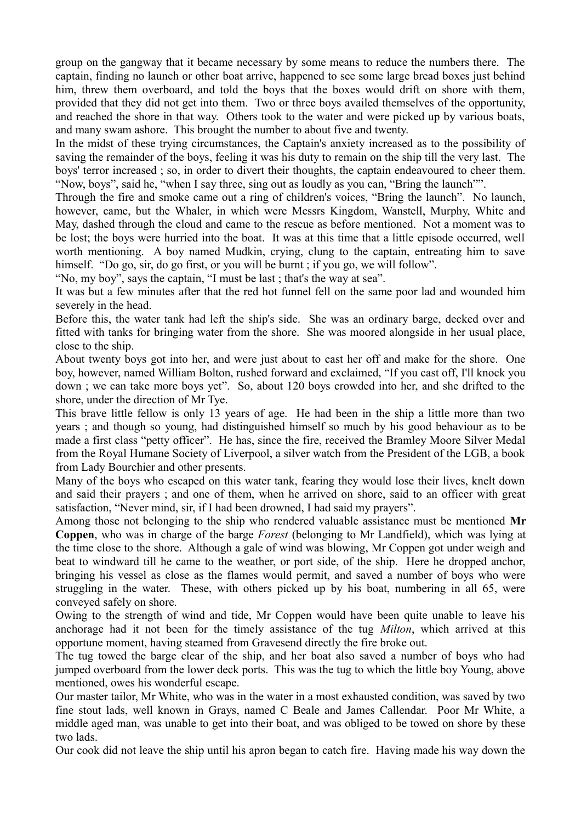group on the gangway that it became necessary by some means to reduce the numbers there. The captain, finding no launch or other boat arrive, happened to see some large bread boxes just behind him, threw them overboard, and told the boys that the boxes would drift on shore with them, provided that they did not get into them. Two or three boys availed themselves of the opportunity, and reached the shore in that way. Others took to the water and were picked up by various boats, and many swam ashore. This brought the number to about five and twenty.

In the midst of these trying circumstances, the Captain's anxiety increased as to the possibility of saving the remainder of the boys, feeling it was his duty to remain on the ship till the very last. The boys' terror increased ; so, in order to divert their thoughts, the captain endeavoured to cheer them. "Now, boys", said he, "when I say three, sing out as loudly as you can, "Bring the launch"".

Through the fire and smoke came out a ring of children's voices, "Bring the launch". No launch, however, came, but the Whaler, in which were Messrs Kingdom, Wanstell, Murphy, White and May, dashed through the cloud and came to the rescue as before mentioned. Not a moment was to be lost; the boys were hurried into the boat. It was at this time that a little episode occurred, well worth mentioning. A boy named Mudkin, crying, clung to the captain, entreating him to save himself. "Do go, sir, do go first, or you will be burnt; if you go, we will follow".

"No, my boy", says the captain, "I must be last ; that's the way at sea".

It was but a few minutes after that the red hot funnel fell on the same poor lad and wounded him severely in the head.

Before this, the water tank had left the ship's side. She was an ordinary barge, decked over and fitted with tanks for bringing water from the shore. She was moored alongside in her usual place, close to the ship.

About twenty boys got into her, and were just about to cast her off and make for the shore. One boy, however, named William Bolton, rushed forward and exclaimed, "If you cast off, I'll knock you down ; we can take more boys yet". So, about 120 boys crowded into her, and she drifted to the shore, under the direction of Mr Tye.

This brave little fellow is only 13 years of age. He had been in the ship a little more than two years ; and though so young, had distinguished himself so much by his good behaviour as to be made a first class "petty officer". He has, since the fire, received the Bramley Moore Silver Medal from the Royal Humane Society of Liverpool, a silver watch from the President of the LGB, a book from Lady Bourchier and other presents.

Many of the boys who escaped on this water tank, fearing they would lose their lives, knelt down and said their prayers ; and one of them, when he arrived on shore, said to an officer with great satisfaction, "Never mind, sir, if I had been drowned, I had said my prayers".

Among those not belonging to the ship who rendered valuable assistance must be mentioned **Mr Coppen**, who was in charge of the barge *Forest* (belonging to Mr Landfield), which was lying at the time close to the shore. Although a gale of wind was blowing, Mr Coppen got under weigh and beat to windward till he came to the weather, or port side, of the ship. Here he dropped anchor, bringing his vessel as close as the flames would permit, and saved a number of boys who were struggling in the water. These, with others picked up by his boat, numbering in all 65, were conveyed safely on shore.

Owing to the strength of wind and tide, Mr Coppen would have been quite unable to leave his anchorage had it not been for the timely assistance of the tug *Milton*, which arrived at this opportune moment, having steamed from Gravesend directly the fire broke out.

The tug towed the barge clear of the ship, and her boat also saved a number of boys who had jumped overboard from the lower deck ports. This was the tug to which the little boy Young, above mentioned, owes his wonderful escape.

Our master tailor, Mr White, who was in the water in a most exhausted condition, was saved by two fine stout lads, well known in Grays, named C Beale and James Callendar. Poor Mr White, a middle aged man, was unable to get into their boat, and was obliged to be towed on shore by these two lads.

Our cook did not leave the ship until his apron began to catch fire. Having made his way down the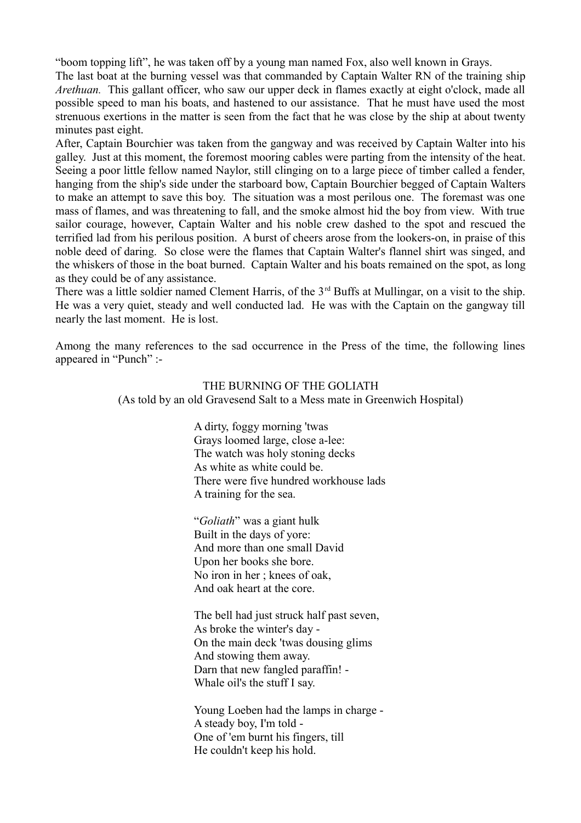"boom topping lift", he was taken off by a young man named Fox, also well known in Grays.

The last boat at the burning vessel was that commanded by Captain Walter RN of the training ship *Arethuan.* This gallant officer, who saw our upper deck in flames exactly at eight o'clock, made all possible speed to man his boats, and hastened to our assistance. That he must have used the most strenuous exertions in the matter is seen from the fact that he was close by the ship at about twenty minutes past eight.

After, Captain Bourchier was taken from the gangway and was received by Captain Walter into his galley. Just at this moment, the foremost mooring cables were parting from the intensity of the heat. Seeing a poor little fellow named Naylor, still clinging on to a large piece of timber called a fender, hanging from the ship's side under the starboard bow, Captain Bourchier begged of Captain Walters to make an attempt to save this boy. The situation was a most perilous one. The foremast was one mass of flames, and was threatening to fall, and the smoke almost hid the boy from view. With true sailor courage, however, Captain Walter and his noble crew dashed to the spot and rescued the terrified lad from his perilous position. A burst of cheers arose from the lookers-on, in praise of this noble deed of daring. So close were the flames that Captain Walter's flannel shirt was singed, and the whiskers of those in the boat burned. Captain Walter and his boats remained on the spot, as long as they could be of any assistance.

There was a little soldier named Clement Harris, of the 3<sup>rd</sup> Buffs at Mullingar, on a visit to the ship. He was a very quiet, steady and well conducted lad. He was with the Captain on the gangway till nearly the last moment. He is lost.

Among the many references to the sad occurrence in the Press of the time, the following lines appeared in "Punch" :-

# THE BURNING OF THE GOLIATH

(As told by an old Gravesend Salt to a Mess mate in Greenwich Hospital)

 A dirty, foggy morning 'twas Grays loomed large, close a-lee: The watch was holy stoning decks As white as white could be. There were five hundred workhouse lads A training for the sea.

"*Goliath*" was a giant hulk Built in the days of yore: And more than one small David Upon her books she bore. No iron in her ; knees of oak, And oak heart at the core.

The bell had just struck half past seven, As broke the winter's day - On the main deck 'twas dousing glims And stowing them away. Darn that new fangled paraffin! - Whale oil's the stuff I say.

Young Loeben had the lamps in charge - A steady boy, I'm told - One of 'em burnt his fingers, till He couldn't keep his hold.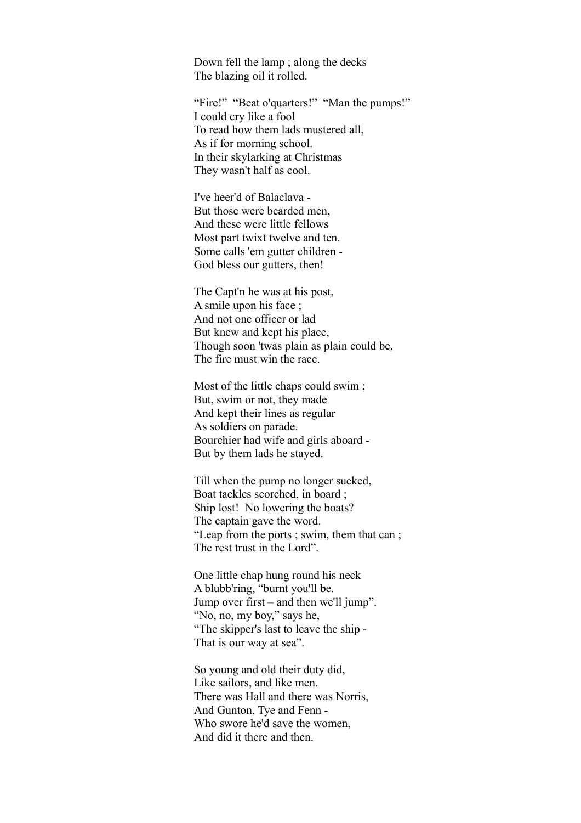Down fell the lamp ; along the decks The blazing oil it rolled.

"Fire!" "Beat o'quarters!" "Man the pumps!" I could cry like a fool To read how them lads mustered all, As if for morning school. In their skylarking at Christmas They wasn't half as cool.

I've heer'd of Balaclava - But those were bearded men, And these were little fellows Most part twixt twelve and ten. Some calls 'em gutter children - God bless our gutters, then!

The Capt'n he was at his post, A smile upon his face ; And not one officer or lad But knew and kept his place, Though soon 'twas plain as plain could be, The fire must win the race.

Most of the little chaps could swim: But, swim or not, they made And kept their lines as regular As soldiers on parade. Bourchier had wife and girls aboard - But by them lads he stayed.

Till when the pump no longer sucked, Boat tackles scorched, in board ; Ship lost! No lowering the boats? The captain gave the word. "Leap from the ports ; swim, them that can ; The rest trust in the Lord".

One little chap hung round his neck A blubb'ring, "burnt you'll be. Jump over first – and then we'll jump". "No, no, my boy," says he, "The skipper's last to leave the ship - That is our way at sea".

So young and old their duty did, Like sailors, and like men. There was Hall and there was Norris, And Gunton, Tye and Fenn - Who swore he'd save the women, And did it there and then.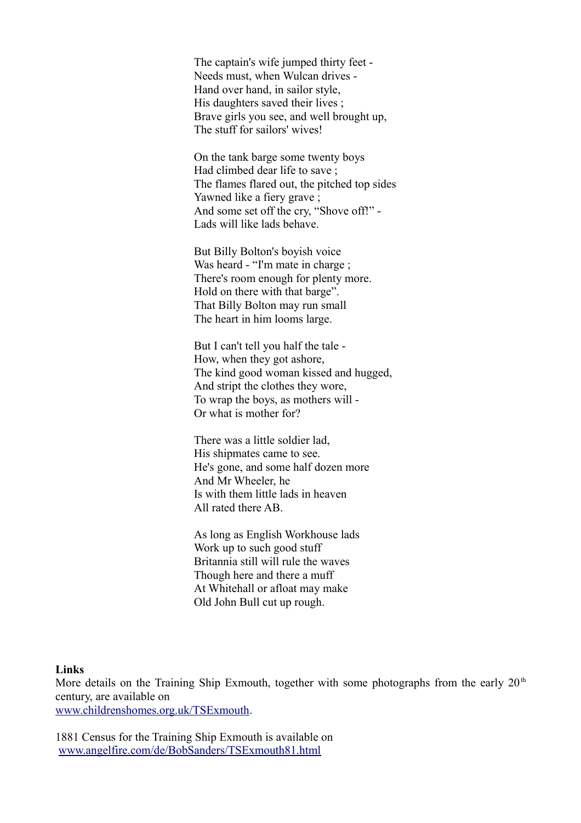The captain's wife jumped thirty feet - Needs must, when Wulcan drives - Hand over hand, in sailor style, His daughters saved their lives ; Brave girls you see, and well brought up, The stuff for sailors' wives!

On the tank barge some twenty boys Had climbed dear life to save ; The flames flared out, the pitched top sides Yawned like a fiery grave ; And some set off the cry, "Shove off!" - Lads will like lads behave.

But Billy Bolton's boyish voice Was heard - "I'm mate in charge ; There's room enough for plenty more. Hold on there with that barge". That Billy Bolton may run small The heart in him looms large.

But I can't tell you half the tale - How, when they got ashore, The kind good woman kissed and hugged, And stript the clothes they wore, To wrap the boys, as mothers will - Or what is mother for?

There was a little soldier lad, His shipmates came to see. He's gone, and some half dozen more And Mr Wheeler, he Is with them little lads in heaven All rated there AB.

As long as English Workhouse lads Work up to such good stuff Britannia still will rule the waves Though here and there a muff At Whitehall or afloat may make Old John Bull cut up rough.

#### **Links**

More details on the Training Ship Exmouth, together with some photographs from the early  $20<sup>th</sup>$ century, are available on

[www.childrenshomes.org.uk/TSExmouth.](http://www.childrenshomes.org.uk/TSExmouth)

1881 Census for the Training Ship Exmouth is available on [www.angelfire.com/de/BobSanders/TSExmouth81.html](http://www.angelfire.com/de/BobSanders/TSExmouth81.html)